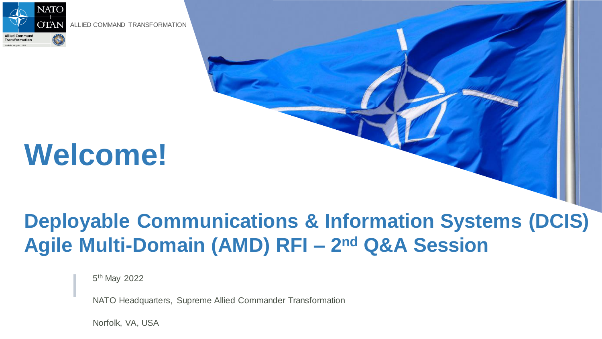

# **Welcome!**

### **Deployable Communications & Information Systems (DCIS) Agile Multi-Domain (AMD) RFI – 2 nd Q&A Session**

5<sup>th</sup> May 2022

NATO Headquarters, Supreme Allied Commander Transformation

Norfolk, VA, USA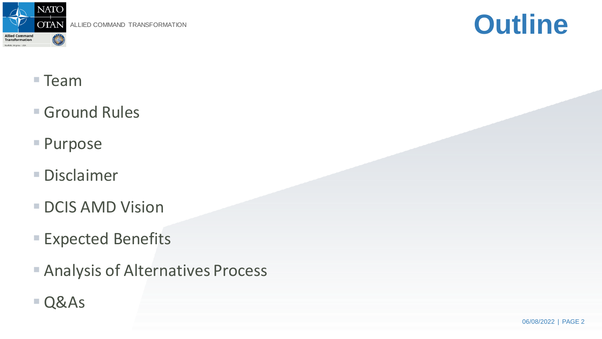

### **Outline**

- Team
- Ground Rules
- Purpose
- *<u>■ Disclaimer</u>*
- **DCIS AMD Vision**
- Expected Benefits
- Analysis of Alternatives Process
- Q&As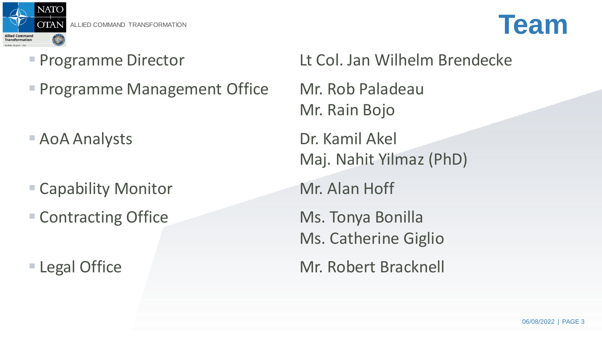

- 
- Programme Management Office Mr. Rob Paladeau
- **Example 26 Analysts Dr. Kamil Akel**
- Capability Monitor Mr. Alan Hoff
- Contracting Office Ms. Tonya Bonilla

■ Programme Director Lt Col. Jan Wilhelm Brendecke Mr. Rain Bojo Maj. Nahit Yilmaz (PhD) Ms. Catherine Giglio ■ Legal Office Mr. Robert Bracknell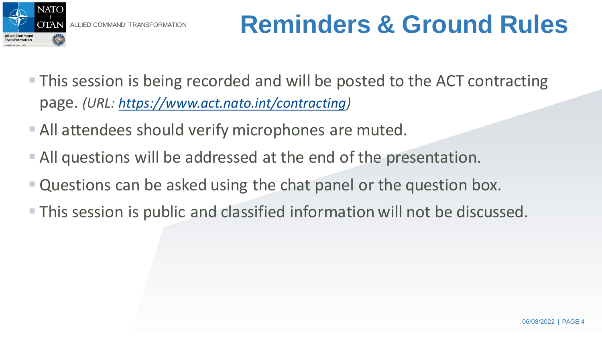

### **Reminders & Ground Rules**

- **This session is being recorded and will be posted to the ACT contracting** page. *(URL: [https://www.act.nato.int/contracting\)](https://www.act.nato.int/contracting)*
- **E** All attendees should verify microphones are muted.
- All questions will be addressed at the end of the presentation.
- Questions can be asked using the chat panel or the question box.
- **This session is public and classified information will not be discussed.**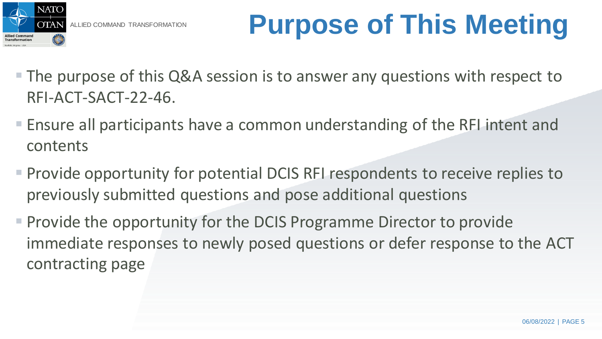

# **Purpose of This Meeting**

- The purpose of this Q&A session is to answer any questions with respect to RFI-ACT-SACT-22-46.
- **Ensure all participants have a common understanding of the RFI intent and** contents
- **Provide opportunity for potential DCIS RFI respondents to receive replies to** previously submitted questions and pose additional questions
- **Provide the opportunity for the DCIS Programme Director to provide** immediate responses to newly posed questions or defer response to the ACT contracting page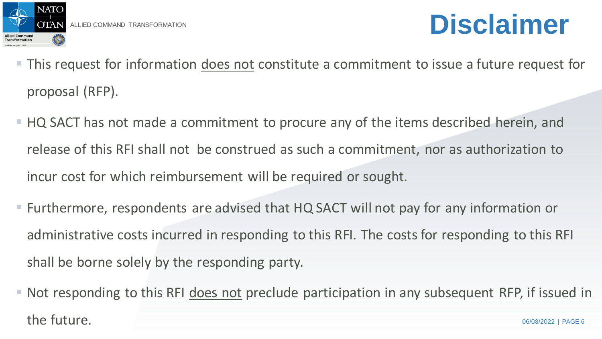

### **Disclaimer**

- **This request for information does not constitute a commitment to issue a future request for** proposal (RFP).
- HQ SACT has not made a commitment to procure any of the items described herein, and release of this RFI shall not be construed as such a commitment, nor as authorization to incur cost for which reimbursement will be required or sought.
- Furthermore, respondents are advised that HQ SACT will not pay for any information or administrative costs incurred in responding to this RFI. The costs for responding to this RFI shall be borne solely by the responding party.
- 06/08/2022 | PAGE 6 **E** Not responding to this RFI does not preclude participation in any subsequent RFP, if issued in the future.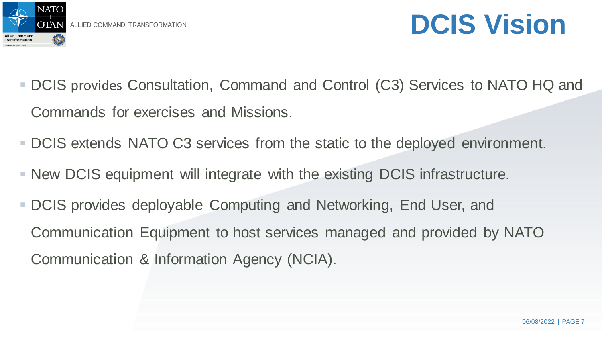

## **DCIS Vision**

- DCIS provides Consultation, Command and Control (C3) Services to NATO HQ and Commands for exercises and Missions.
- DCIS extends NATO C3 services from the static to the deployed environment.
- New DCIS equipment will integrate with the existing DCIS infrastructure.
- DCIS provides deployable Computing and Networking, End User, and Communication Equipment to host services managed and provided by NATO Communication & Information Agency (NCIA).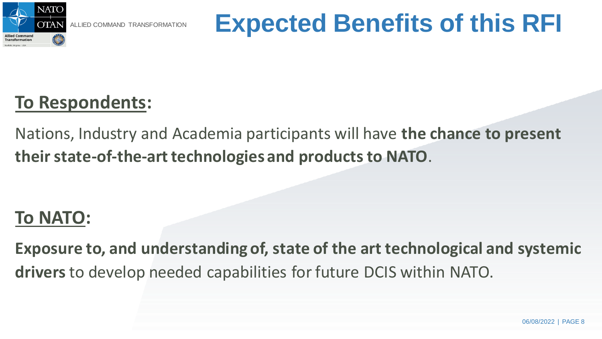

### **Expected Benefits of this RFI**

#### **To Respondents:**

Nations, Industry and Academia participants will have **the chance to present their state-of-the-art technologies and products to NATO**.

### **To NATO:**

**Exposure to, and understanding of, state of the art technological and systemic drivers**to develop needed capabilities for future DCIS within NATO.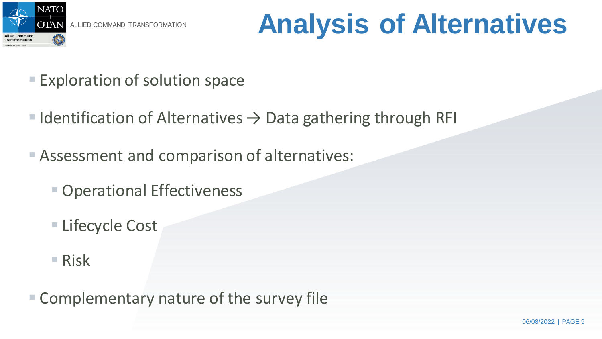

# **OTAN ALLIED COMMAND TRANSFORMATION Analysis of Alternatives**

- Exploration of solution space
- $\blacksquare$  Identification of Alternatives  $\rightarrow$  Data gathering through RFI
- Assessment and comparison of alternatives:
	- Operational Effectiveness
	- **ELifecycle Cost**
	- Risk

■ Complementary nature of the survey file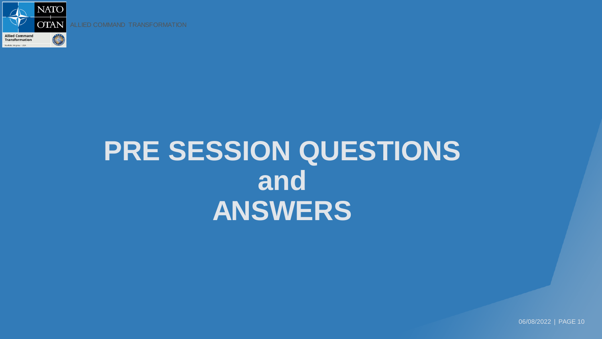

## **PRE SESSION QUESTIONS and ANSWERS**

06/08/2022 | PAGE 10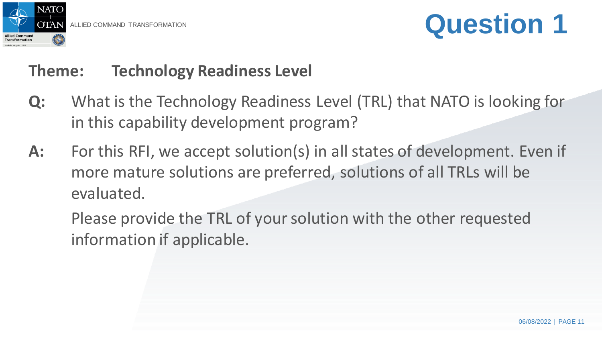

#### **Theme: Technology Readiness Level**

- **Q:** What is the Technology Readiness Level (TRL) that NATO is looking for in this capability development program?
- **A:** For this RFI, we accept solution(s) in all states of development. Even if more mature solutions are preferred, solutions of all TRLs will be evaluated.

Please provide the TRL of your solution with the other requested information if applicable.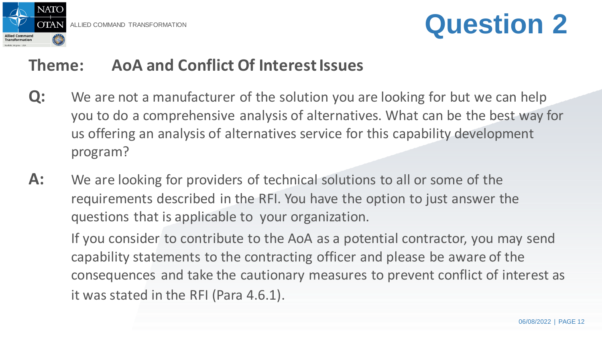

### OTAN ALLIED COMMAND TRANSFORMATION **QUestion** 2

#### **Theme: AoA and Conflict Of Interest Issues**

- **Q:** We are not a manufacturer of the solution you are looking for but we can help you to do a comprehensive analysis of alternatives. What can be the best way for us offering an analysis of alternatives service for this capability development program?
- **A:** We are looking for providers of technical solutions to all or some of the requirements described in the RFI. You have the option to just answer the questions that is applicable to your organization.

If you consider to contribute to the AoA as a potential contractor, you may send capability statements to the contracting officer and please be aware of the consequences and take the cautionary measures to prevent conflict of interest as it was stated in the RFI (Para 4.6.1).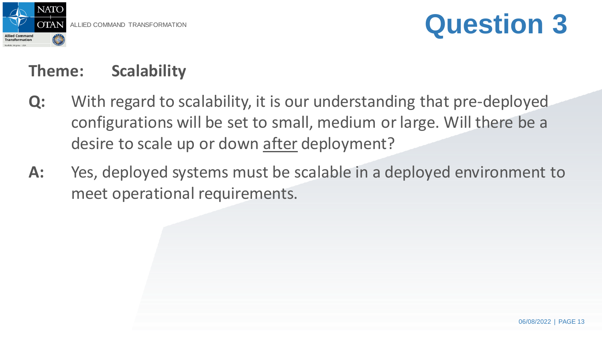

#### **Theme: Scalability**

- **Q:** With regard to scalability, it is our understanding that pre-deployed configurations will be set to small, medium or large. Will there be a desire to scale up or down after deployment?
- **A:** Yes, deployed systems must be scalable in a deployed environment to meet operational requirements.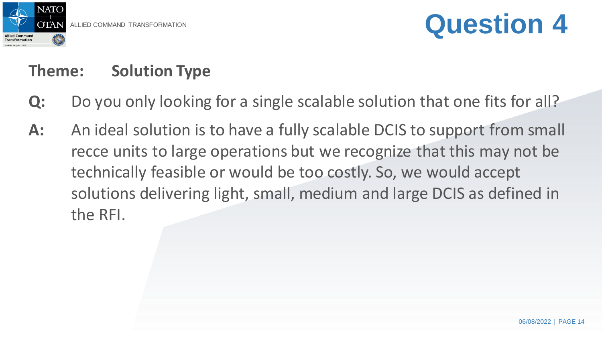

#### **Theme: Solution Type**

- **Q:** Do you only looking for a single scalable solution that one fits for all?
- **A:** An ideal solution is to have a fully scalable DCIS to support from small recce units to large operations but we recognize that this may not be technically feasible or would be too costly. So, we would accept solutions delivering light, small, medium and large DCIS as defined in the RFI.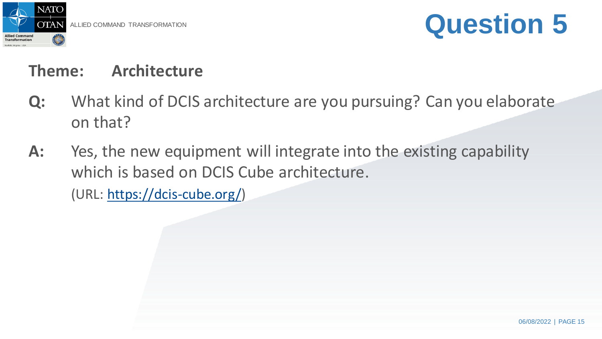

#### **Theme: Architecture**

- **Q:** What kind of DCIS architecture are you pursuing? Can you elaborate on that?
- **A:** Yes, the new equipment will integrate into the existing capability which is based on DCIS Cube architecture. (URL: [https://dcis-cube.org/\)](https://dcis-cube.org/)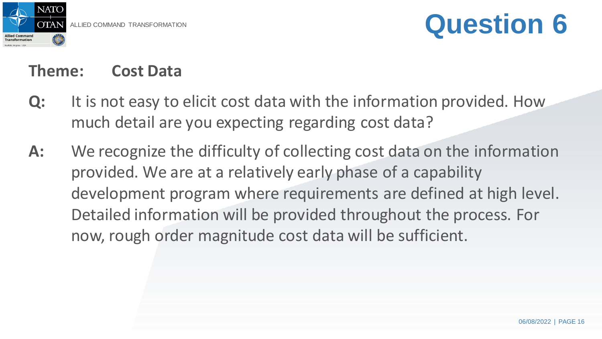

#### **Theme: Cost Data**

- **Q:** It is not easy to elicit cost data with the information provided. How much detail are you expecting regarding cost data?
- **A:** We recognize the difficulty of collecting cost data on the information provided. We are at a relatively early phase of a capability development program where requirements are defined at high level. Detailed information will be provided throughout the process. For now, rough order magnitude cost data will be sufficient.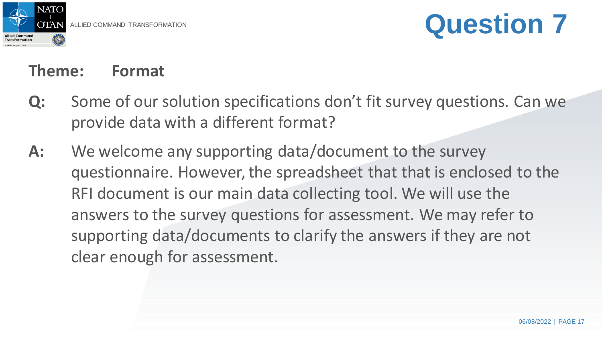

### ALLIED COMMAND TRANSFORMATION **QUestion** 7

#### **Theme: Format**

- **Q:** Some of our solution specifications don't fit survey questions. Can we provide data with a different format?
- **A:** We welcome any supporting data/document to the survey questionnaire. However, the spreadsheet that that is enclosed to the RFI document is our main data collecting tool. We will use the answers to the survey questions for assessment. We may refer to supporting data/documents to clarify the answers if they are not clear enough for assessment.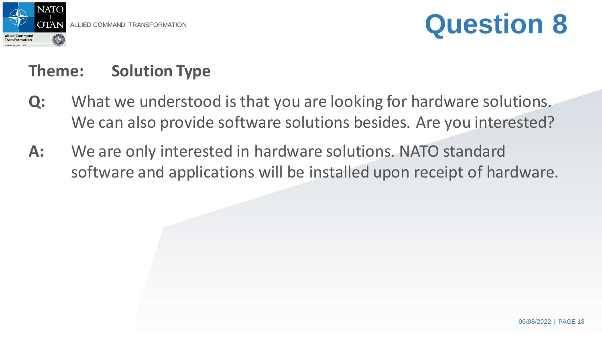

#### **Theme: Solution Type**

- **Q:** What we understood is that you are looking for hardware solutions. We can also provide software solutions besides. Are you interested?
- **A:** We are only interested in hardware solutions. NATO standard software and applications will be installed upon receipt of hardware.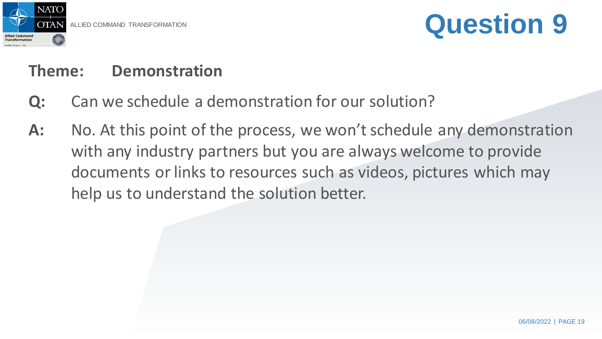

#### **Theme: Demonstration**

- **Q:** Can we schedule a demonstration for our solution?
- **A:** No. At this point of the process, we won't schedule any demonstration with any industry partners but you are always welcome to provide documents or links to resources such as videos, pictures which may help us to understand the solution better.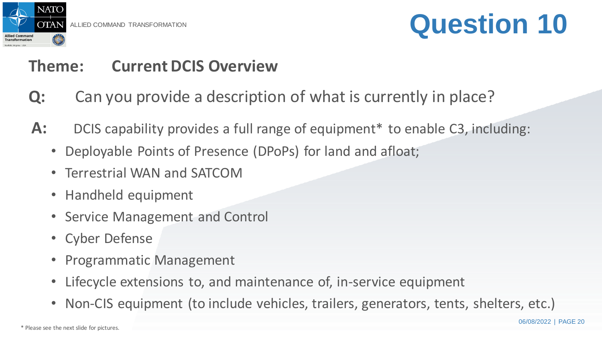

### OTAN ALLIED COMMAND TRANSFORMATION **QUestion** 10

#### **Theme: Current DCIS Overview**

- **Q:** Can you provide a description of what is currently in place?
- **A:** DCIS capability provides a full range of equipment\* to enable C3, including:
	- Deployable Points of Presence (DPoPs) for land and afloat;
	- Terrestrial WAN and SATCOM
	- Handheld equipment
	- Service Management and Control
	- Cyber Defense
	- Programmatic Management
	- Lifecycle extensions to, and maintenance of, in-service equipment
	- Non-CIS equipment (to include vehicles, trailers, generators, tents, shelters, etc.)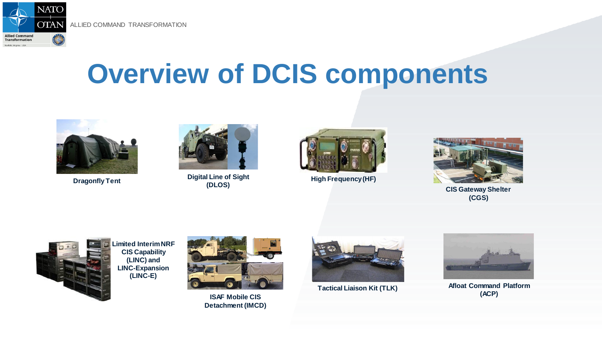



**NATO** 

## **Overview of DCIS components**



**Dragonfly Tent**



**Digital Line of Sight (DLOS)**



**High Frequency (HF)**



**CIS Gateway Shelter (CGS)**



**Limited Interim NRF CIS Capability (LINC) and LINC-Expansion (LINC-E)**



**ISAF Mobile CIS Detachment (IMCD)**



**Tactical Liaison Kit (TLK)**



**Afloat Command Platform (ACP)**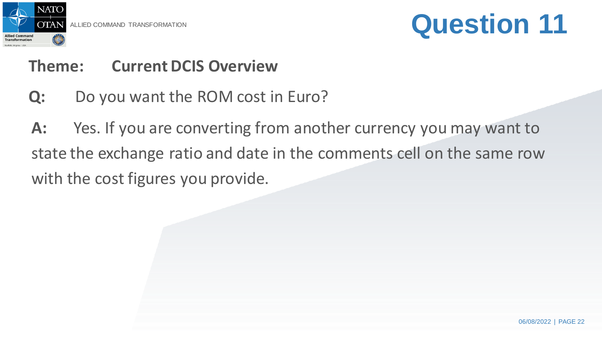

### OTAN ALLIED COMMAND TRANSFORMATION **QUESTION** 11

#### **Theme: Current DCIS Overview**

**Q:** Do you want the ROM cost in Euro?

**A:** Yes. If you are converting from another currency you may want to state the exchange ratio and date in the comments cell on the same row with the cost figures you provide.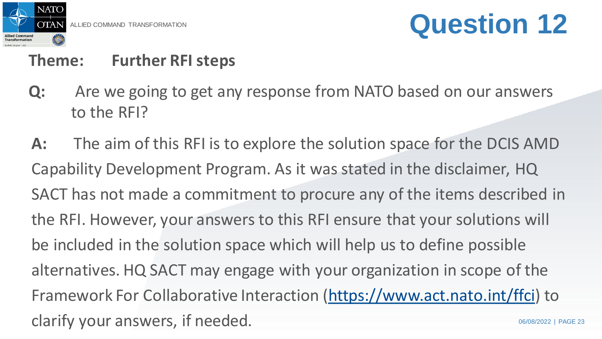

### OTAN ALLIED COMMAND TRANSFORMATION **QUESTION** 12

#### **Theme: Further RFI steps**

- **Q:** Are we going to get any response from NATO based on our answers to the RFI?
- 06/08/2022 | PAGE 23 **A:** The aim of this RFI is to explore the solution space for the DCIS AMD Capability Development Program. As it was stated in the disclaimer, HQ SACT has not made a commitment to procure any of the items described in the RFI. However, your answers to this RFI ensure that your solutions will be included in the solution space which will help us to define possible alternatives. HQ SACT may engage with your organization in scope of the Framework For Collaborative Interaction [\(https://www.act.nato.int/ffci\)](https://www.act.nato.int/ffci) to clarify your answers, if needed.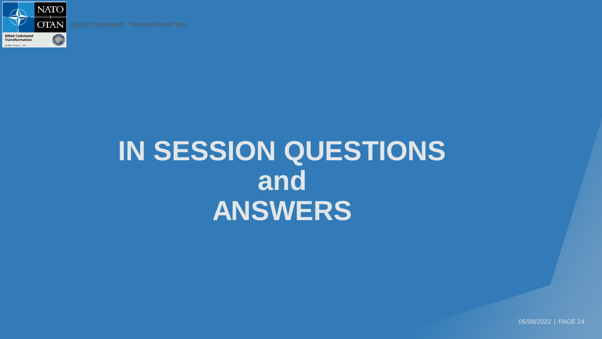

### **IN SESSION QUESTIONS and ANSWERS**

06/08/2022 | PAGE 24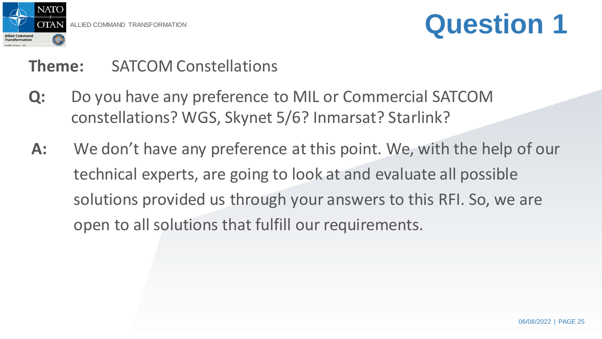

#### **Theme:** SATCOM Constellations

- **Q:** Do you have any preference to MIL or Commercial SATCOM constellations? WGS, Skynet 5/6? Inmarsat? Starlink?
- **A:** We don't have any preference at this point. We, with the help of our technical experts, are going to look at and evaluate all possible solutions provided us through your answers to this RFI. So, we are open to all solutions that fulfill our requirements.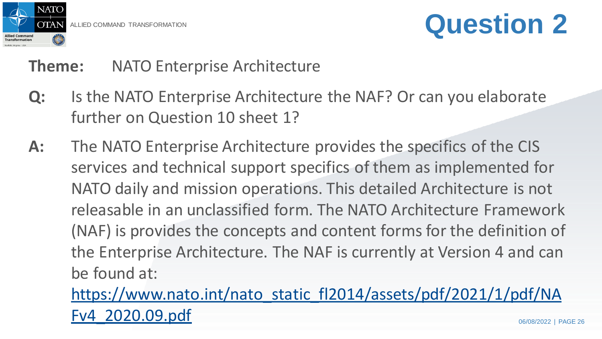

### OTAN ALLIED COMMAND TRANSFORMATION **QUESTION** 2

#### **Theme:** NATO Enterprise Architecture

- **Q:** Is the NATO Enterprise Architecture the NAF? Or can you elaborate further on Question 10 sheet 1?
- **A:** The NATO Enterprise Architecture provides the specifics of the CIS services and technical support specifics of them as implemented for NATO daily and mission operations. This detailed Architecture is not releasable in an unclassified form. The NATO Architecture Framework (NAF) is provides the concepts and content forms for the definition of the Enterprise Architecture. The NAF is currently at Version 4 and can be found at:

06/08/2022 | PAGE 26 [https://www.nato.int/nato\\_static\\_fl2014/assets/pdf/2021/1/pdf/NA](https://www.nato.int/nato_static_fl2014/assets/pdf/2021/1/pdf/NAFv4_2020.09.pdf) Fv4\_2020.09.pdf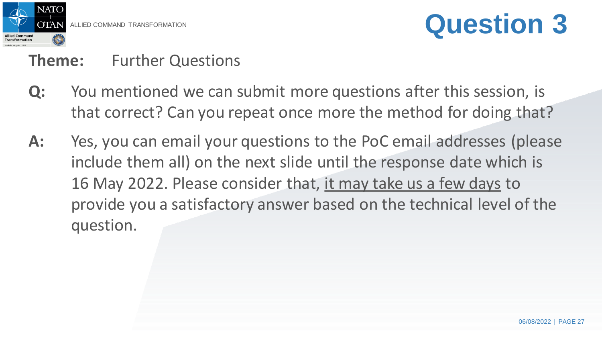

#### **Theme:** Further Questions

- **Q:** You mentioned we can submit more questions after this session, is that correct? Can you repeat once more the method for doing that?
- **A:** Yes, you can email your questions to the PoC email addresses (please include them all) on the next slide until the response date which is 16 May 2022. Please consider that, it may take us a few days to provide you a satisfactory answer based on the technical level of the question.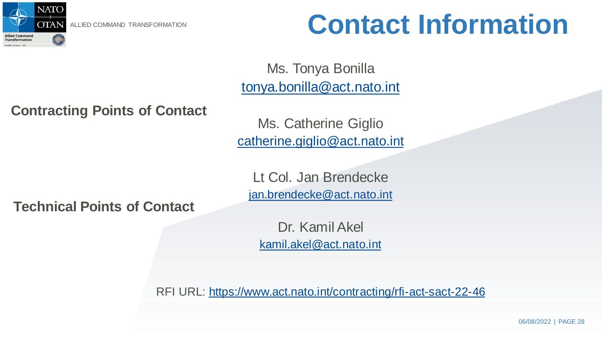

## **Contact Information**

Ms. Tonya Bonilla [tonya.bonilla@act.nato.int](mailto:tonya.bonilla@act.nato.int)

**Contracting Points of Contact**

Ms. Catherine Giglio [catherine.giglio@act.nato.int](mailto:catherine.giglio@act.nato.int)

Lt Col. Jan Brendecke [jan.brendecke@act.nato.int](mailto:Jan.brendecke@act.nato.int)

**Technical Points of Contact**

Dr. KamilAkel [kamil.akel@act.nato.int](mailto:kamil.akel@act.nato.int)

RFI URL: <https://www.act.nato.int/contracting/rfi-act-sact-22-46>